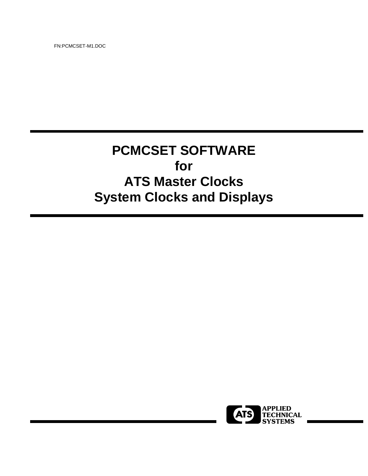FN:PCMCSET-M1.DOC

# **PCMCSET SOFTWARE for ATS Master Clocks System Clocks and Displays**

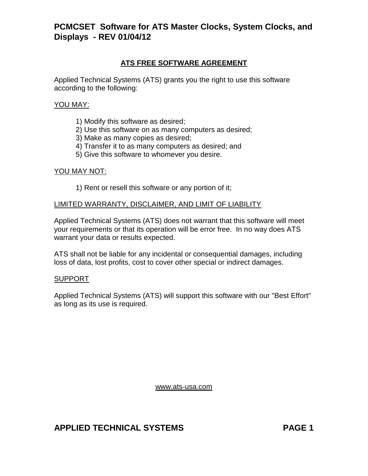## **ATS FREE SOFTWARE AGREEMENT**

Applied Technical Systems (ATS) grants you the right to use this software according to the following:

#### YOU MAY:

- 1) Modify this software as desired;
- 2) Use this software on as many computers as desired;
- 3) Make as many copies as desired;
- 4) Transfer it to as many computers as desired; and
- 5) Give this software to whomever you desire.

#### YOU MAY NOT:

1) Rent or resell this software or any portion of it;

#### LIMITED WARRANTY, DISCLAIMER, AND LIMIT OF LIABILITY

Applied Technical Systems (ATS) does not warrant that this software will meet your requirements or that its operation will be error free. In no way does ATS warrant your data or results expected.

ATS shall not be liable for any incidental or consequential damages, including loss of data, lost profits, cost to cover other special or indirect damages.

#### SUPPORT

Applied Technical Systems (ATS) will support this software with our "Best Effort" as long as its use is required.

www.ats-usa.com

## **APPLIED TECHNICAL SYSTEMS PAGE 1**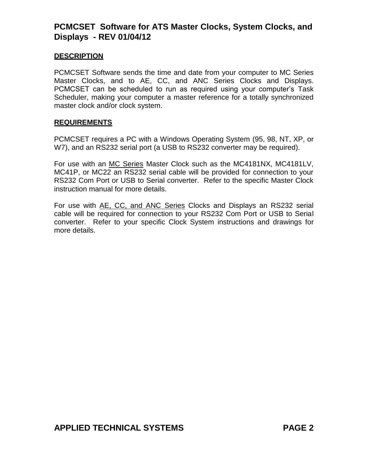### **DESCRIPTION**

PCMCSET Software sends the time and date from your computer to MC Series Master Clocks, and to AE, CC, and ANC Series Clocks and Displays. PCMCSET can be scheduled to run as required using your computer's Task Scheduler, making your computer a master reference for a totally synchronized master clock and/or clock system.

#### **REQUIREMENTS**

PCMCSET requires a PC with a Windows Operating System (95, 98, NT, XP, or W7), and an RS232 serial port (a USB to RS232 converter may be required).

For use with an MC Series Master Clock such as the MC4181NX, MC4181LV, MC41P, or MC22 an RS232 serial cable will be provided for connection to your RS232 Com Port or USB to Serial converter. Refer to the specific Master Clock instruction manual for more details.

For use with AE, CC, and ANC Series Clocks and Displays an RS232 serial cable will be required for connection to your RS232 Com Port or USB to Serial converter. Refer to your specific Clock System instructions and drawings for more details.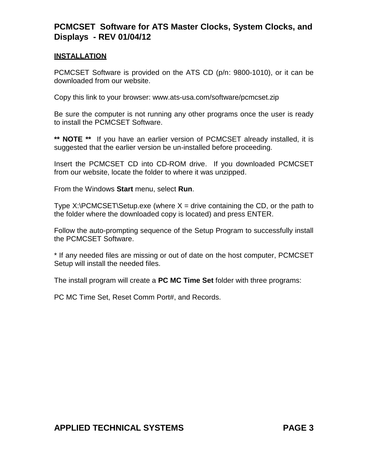## **INSTALLATION**

PCMCSET Software is provided on the ATS CD (p/n: 9800-1010), or it can be downloaded from our website.

Copy this link to your browser: www.ats-usa.com/software/pcmcset.zip

Be sure the computer is not running any other programs once the user is ready to install the PCMCSET Software.

**\*\* NOTE \*\*** If you have an earlier version of PCMCSET already installed, it is suggested that the earlier version be un-installed before proceeding.

Insert the PCMCSET CD into CD-ROM drive. If you downloaded PCMCSET from our website, locate the folder to where it was unzipped.

From the Windows **Start** menu, select **Run**.

Type  $X:\P$  CMCSET\Setup.exe (where  $X =$  drive containing the CD, or the path to the folder where the downloaded copy is located) and press ENTER.

Follow the auto-prompting sequence of the Setup Program to successfully install the PCMCSET Software.

\* If any needed files are missing or out of date on the host computer, PCMCSET Setup will install the needed files.

The install program will create a **PC MC Time Set** folder with three programs:

PC MC Time Set, Reset Comm Port#, and Records.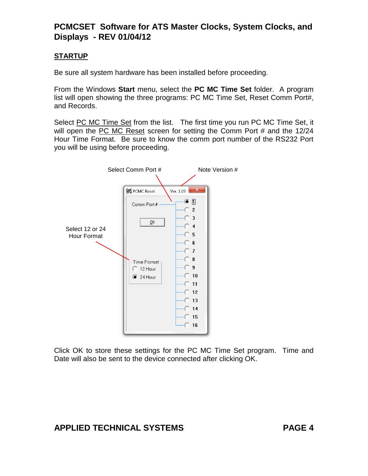## **STARTUP**

Be sure all system hardware has been installed before proceeding.

From the Windows **Start** menu, select the **PC MC Time Set** folder. A program list will open showing the three programs: PC MC Time Set, Reset Comm Port#, and Records.

Select PC MC Time Set from the list. The first time you run PC MC Time Set, it will open the PC MC Reset screen for setting the Comm Port # and the 12/24 Hour Time Format. Be sure to know the comm port number of the RS232 Port you will be using before proceeding.



Click OK to store these settings for the PC MC Time Set program. Time and Date will also be sent to the device connected after clicking OK.

# **APPLIED TECHNICAL SYSTEMS PAGE 4**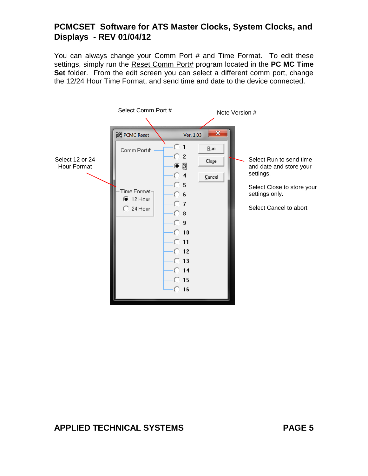You can always change your Comm Port # and Time Format. To edit these settings, simply run the Reset Comm Port# program located in the **PC MC Time Set** folder. From the edit screen you can select a different comm port, change the 12/24 Hour Time Format, and send time and date to the device connected.